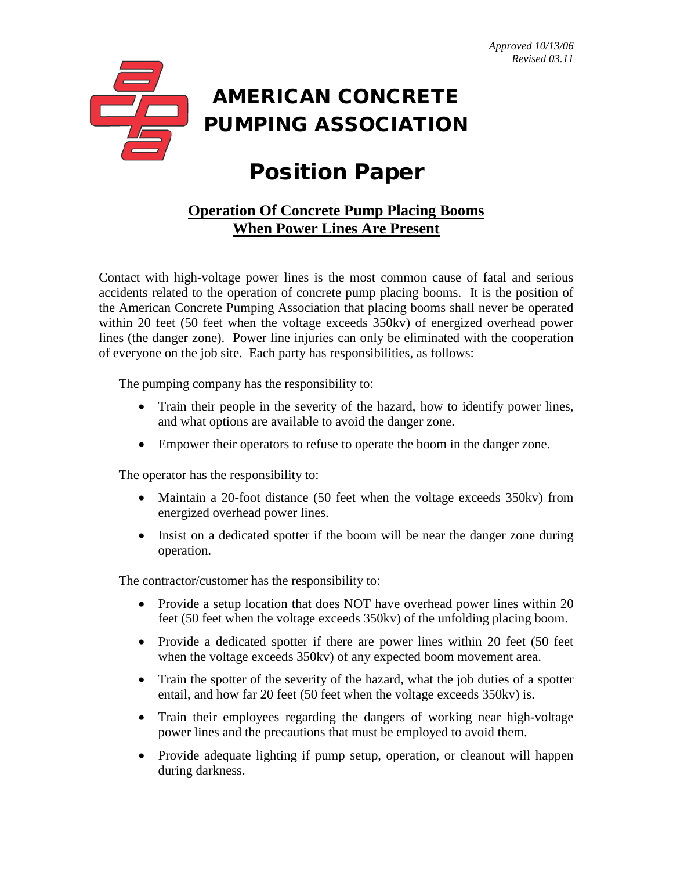

## Position Paper

## **Operation Of Concrete Pump Placing Booms When Power Lines Are Present**

Contact with high-voltage power lines is the most common cause of fatal and serious accidents related to the operation of concrete pump placing booms. It is the position of the American Concrete Pumping Association that placing booms shall never be operated within 20 feet (50 feet when the voltage exceeds 350kv) of energized overhead power lines (the danger zone). Power line injuries can only be eliminated with the cooperation of everyone on the job site. Each party has responsibilities, as follows:

The pumping company has the responsibility to:

- Train their people in the severity of the hazard, how to identify power lines, and what options are available to avoid the danger zone.
- Empower their operators to refuse to operate the boom in the danger zone.

The operator has the responsibility to:

- Maintain a 20-foot distance (50 feet when the voltage exceeds 350kv) from energized overhead power lines.
- Insist on a dedicated spotter if the boom will be near the danger zone during operation.

The contractor/customer has the responsibility to:

- Provide a setup location that does NOT have overhead power lines within 20 feet (50 feet when the voltage exceeds 350kv) of the unfolding placing boom.
- Provide a dedicated spotter if there are power lines within 20 feet (50 feet) when the voltage exceeds 350kv) of any expected boom movement area.
- Train the spotter of the severity of the hazard, what the job duties of a spotter entail, and how far 20 feet (50 feet when the voltage exceeds 350kv) is.
- Train their employees regarding the dangers of working near high-voltage power lines and the precautions that must be employed to avoid them.
- Provide adequate lighting if pump setup, operation, or cleanout will happen during darkness.